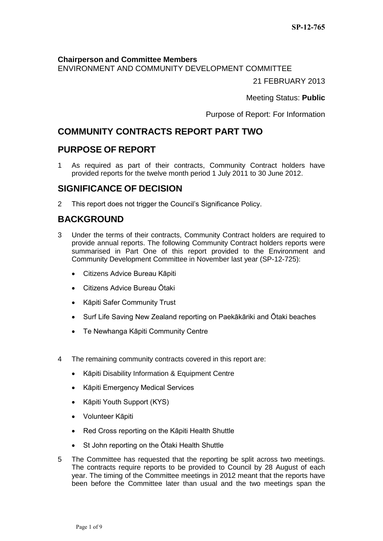### **Chairperson and Committee Members**

ENVIRONMENT AND COMMUNITY DEVELOPMENT COMMITTEE

21 FEBRUARY 2013

Meeting Status: **Public**

Purpose of Report: For Information

# **COMMUNITY CONTRACTS REPORT PART TWO**

## **PURPOSE OF REPORT**

1 As required as part of their contracts, Community Contract holders have provided reports for the twelve month period 1 July 2011 to 30 June 2012.

## **SIGNIFICANCE OF DECISION**

2 This report does not trigger the Council's Significance Policy.

# **BACKGROUND**

- 3 Under the terms of their contracts, Community Contract holders are required to provide annual reports. The following Community Contract holders reports were summarised in Part One of this report provided to the Environment and Community Development Committee in November last year (SP-12-725):
	- Citizens Advice Bureau Kāpiti
	- Citizens Advice Bureau Ōtaki
	- Kāpiti Safer Community Trust
	- Surf Life Saving New Zealand reporting on Paekākāriki and Ōtaki beaches
	- Te Newhanga Kāpiti Community Centre
- 4 The remaining community contracts covered in this report are:
	- Kāpiti Disability Information & Equipment Centre
	- Kāpiti Emergency Medical Services
	- Kāpiti Youth Support (KYS)
	- Volunteer Kāpiti
	- Red Cross reporting on the Kāpiti Health Shuttle
	- St John reporting on the Otaki Health Shuttle
- 5 The Committee has requested that the reporting be split across two meetings. The contracts require reports to be provided to Council by 28 August of each year. The timing of the Committee meetings in 2012 meant that the reports have been before the Committee later than usual and the two meetings span the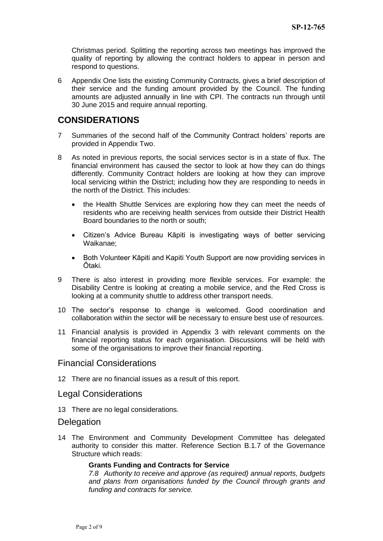Christmas period. Splitting the reporting across two meetings has improved the quality of reporting by allowing the contract holders to appear in person and respond to questions.

6 Appendix One lists the existing Community Contracts, gives a brief description of their service and the funding amount provided by the Council. The funding amounts are adjusted annually in line with CPI. The contracts run through until 30 June 2015 and require annual reporting.

## **CONSIDERATIONS**

- 7 Summaries of the second half of the Community Contract holders' reports are provided in Appendix Two.
- 8 As noted in previous reports, the social services sector is in a state of flux. The financial environment has caused the sector to look at how they can do things differently. Community Contract holders are looking at how they can improve local servicing within the District; including how they are responding to needs in the north of the District. This includes:
	- the Health Shuttle Services are exploring how they can meet the needs of residents who are receiving health services from outside their District Health Board boundaries to the north or south;
	- Citizen's Advice Bureau Kāpiti is investigating ways of better servicing Waikanae;
	- Both Volunteer Kāpiti and Kapiti Youth Support are now providing services in Ōtaki.
- 9 There is also interest in providing more flexible services. For example: the Disability Centre is looking at creating a mobile service, and the Red Cross is looking at a community shuttle to address other transport needs.
- 10 The sector's response to change is welcomed. Good coordination and collaboration within the sector will be necessary to ensure best use of resources.
- 11 Financial analysis is provided in Appendix 3 with relevant comments on the financial reporting status for each organisation. Discussions will be held with some of the organisations to improve their financial reporting.

### Financial Considerations

12 There are no financial issues as a result of this report.

### Legal Considerations

13 There are no legal considerations.

### **Delegation**

14 The Environment and Community Development Committee has delegated authority to consider this matter. Reference Section B.1.7 of the Governance Structure which reads:

#### **Grants Funding and Contracts for Service**

*7.8 Authority to receive and approve (as required) annual reports, budgets and plans from organisations funded by the Council through grants and funding and contracts for service.*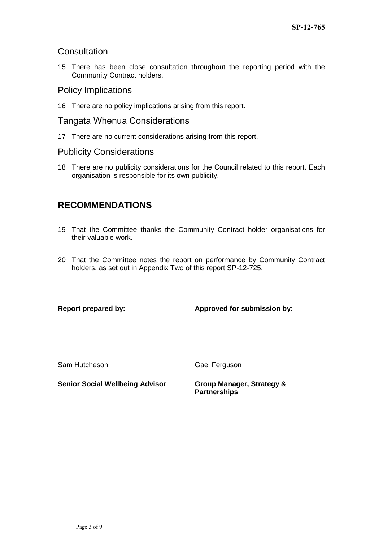## **Consultation**

15 There has been close consultation throughout the reporting period with the Community Contract holders.

## Policy Implications

16 There are no policy implications arising from this report.

## Tāngata Whenua Considerations

17 There are no current considerations arising from this report.

## Publicity Considerations

18 There are no publicity considerations for the Council related to this report. Each organisation is responsible for its own publicity.

# **RECOMMENDATIONS**

- 19 That the Committee thanks the Community Contract holder organisations for their valuable work.
- 20 That the Committee notes the report on performance by Community Contract holders, as set out in Appendix Two of this report SP-12-725.

### **Report prepared by: Approved for submission by:**

Sam Hutcheson Gael Ferguson

**Senior Social Wellbeing Advisor Group Manager, Strategy &** 

**Partnerships**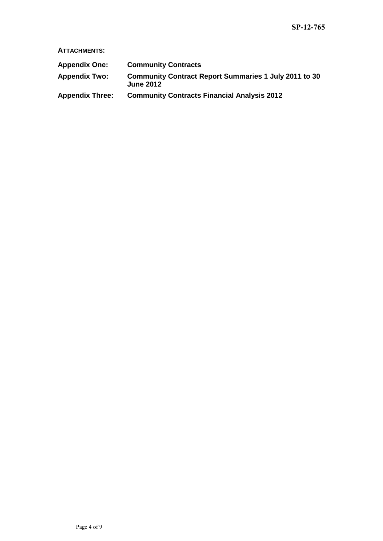**ATTACHMENTS:**

| <b>Appendix One:</b>   | <b>Community Contracts</b>                                                       |
|------------------------|----------------------------------------------------------------------------------|
| <b>Appendix Two:</b>   | <b>Community Contract Report Summaries 1 July 2011 to 30</b><br><b>June 2012</b> |
| <b>Appendix Three:</b> | <b>Community Contracts Financial Analysis 2012</b>                               |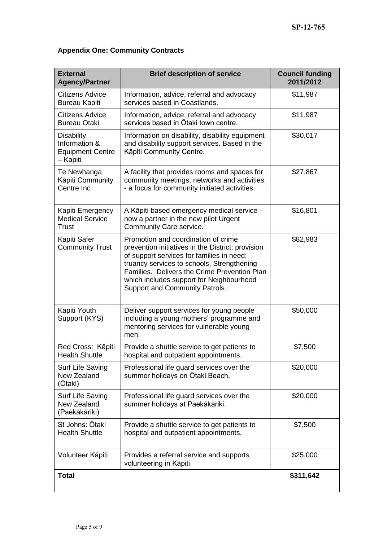# **Appendix One: Community Contracts**

| <b>External</b><br><b>Agency/Partner</b>                                  | <b>Brief description of service</b>                                                                                                                                                                                                                                                                               | <b>Council funding</b><br>2011/2012 |
|---------------------------------------------------------------------------|-------------------------------------------------------------------------------------------------------------------------------------------------------------------------------------------------------------------------------------------------------------------------------------------------------------------|-------------------------------------|
| <b>Citizens Advice</b><br><b>Bureau Kapiti</b>                            | Information, advice, referral and advocacy<br>services based in Coastlands.                                                                                                                                                                                                                                       | \$11,987                            |
| <b>Citizens Advice</b><br><b>Bureau Otaki</b>                             | Information, advice, referral and advocacy<br>services based in Otaki town centre.                                                                                                                                                                                                                                | \$11,987                            |
| <b>Disability</b><br>Information &<br><b>Equipment Centre</b><br>- Kapiti | Information on disability, disability equipment<br>and disability support services. Based in the<br>Kāpiti Community Centre.                                                                                                                                                                                      | \$30,017                            |
| Te Newhanga<br>Kāpiti Community<br>Centre Inc                             | A facility that provides rooms and spaces for<br>community meetings, networks and activities<br>- a focus for community initiated activities.                                                                                                                                                                     | \$27,867                            |
| Kapiti Emergency<br><b>Medical Service</b><br><b>Trust</b>                | A Kāpiti based emergency medical service -<br>now a partner in the new pilot Urgent<br>Community Care service.                                                                                                                                                                                                    | \$16,801                            |
| Kapiti Safer<br><b>Community Trust</b>                                    | Promotion and coordination of crime<br>prevention initiatives in the District; provision<br>of support services for families in need;<br>truancy services to schools, Strengthening<br>Families. Delivers the Crime Prevention Plan<br>which includes support for Neighbourhood<br>Support and Community Patrols. | \$82,983                            |
| Kapiti Youth<br>Support (KYS)                                             | Deliver support services for young people<br>including a young mothers' programme and<br>mentoring services for vulnerable young<br>men.                                                                                                                                                                          | \$50,000                            |
| Red Cross: Kāpiti<br><b>Health Shuttle</b>                                | Provide a shuttle service to get patients to<br>hospital and outpatient appointments.                                                                                                                                                                                                                             | \$7,500                             |
| Surf Life Saving<br>New Zealand<br>(Ōtaki)                                | Professional life guard services over the<br>summer holidays on Ōtaki Beach.                                                                                                                                                                                                                                      | \$20,000                            |
| Surf Life Saving<br>New Zealand<br>(Paekākāriki)                          | Professional life guard services over the<br>summer holidays at Paekākāriki.                                                                                                                                                                                                                                      | \$20,000                            |
| St Johns: Ōtaki<br><b>Health Shuttle</b>                                  | Provide a shuttle service to get patients to<br>hospital and outpatient appointments.                                                                                                                                                                                                                             | \$7,500                             |
| Volunteer Kāpiti                                                          | Provides a referral service and supports<br>volunteering in Kāpiti.                                                                                                                                                                                                                                               | \$25,000                            |
| <b>Total</b>                                                              |                                                                                                                                                                                                                                                                                                                   | \$311,642                           |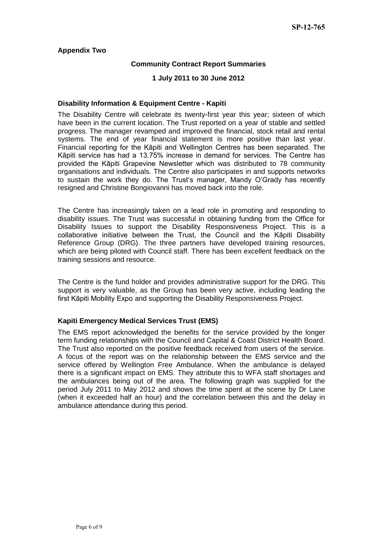### **Appendix Two**

### **Community Contract Report Summaries**

#### **1 July 2011 to 30 June 2012**

#### **Disability Information & Equipment Centre - Kapiti**

The Disability Centre will celebrate its twenty-first year this year; sixteen of which have been in the current location. The Trust reported on a year of stable and settled progress. The manager revamped and improved the financial, stock retail and rental systems. The end of year financial statement is more positive than last year. Financial reporting for the Kāpiti and Wellington Centres has been separated. The Kāpiti service has had a 13.75% increase in demand for services. The Centre has provided the Kāpiti Grapevine Newsletter which was distributed to 78 community organisations and individuals. The Centre also participates in and supports networks to sustain the work they do. The Trust's manager, Mandy O'Grady has recently resigned and Christine Bongiovanni has moved back into the role.

The Centre has increasingly taken on a lead role in promoting and responding to disability issues. The Trust was successful in obtaining funding from the Office for Disability Issues to support the Disability Responsiveness Project. This is a collaborative initiative between the Trust, the Council and the Kāpiti Disability Reference Group (DRG). The three partners have developed training resources, which are being piloted with Council staff. There has been excellent feedback on the training sessions and resource.

The Centre is the fund holder and provides administrative support for the DRG. This support is very valuable, as the Group has been very active, including leading the first Kāpiti Mobility Expo and supporting the Disability Responsiveness Project.

### **Kapiti Emergency Medical Services Trust (EMS)**

The EMS report acknowledged the benefits for the service provided by the longer term funding relationships with the Council and Capital & Coast District Health Board. The Trust also reported on the positive feedback received from users of the service. A focus of the report was on the relationship between the EMS service and the service offered by Wellington Free Ambulance. When the ambulance is delayed there is a significant impact on EMS. They attribute this to WFA staff shortages and the ambulances being out of the area. The following graph was supplied for the period July 2011 to May 2012 and shows the time spent at the scene by Dr Lane (when it exceeded half an hour) and the correlation between this and the delay in ambulance attendance during this period.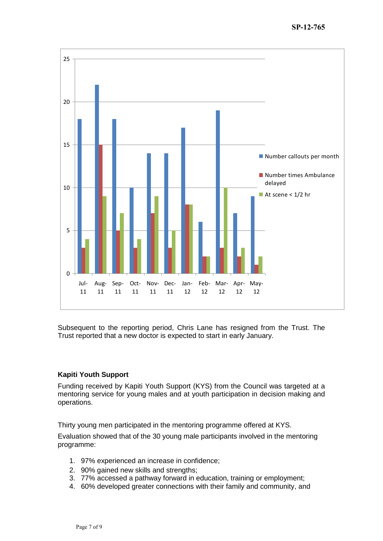

Subsequent to the reporting period, Chris Lane has resigned from the Trust. The Trust reported that a new doctor is expected to start in early January.

### **Kapiti Youth Support**

Funding received by Kapiti Youth Support (KYS) from the Council was targeted at a mentoring service for young males and at youth participation in decision making and operations.

Thirty young men participated in the mentoring programme offered at KYS.

Evaluation showed that of the 30 young male participants involved in the mentoring programme:

- 1. 97% experienced an increase in confidence;
- 2. 90% gained new skills and strengths;
- 3. 77% accessed a pathway forward in education, training or employment;
- 4. 60% developed greater connections with their family and community, and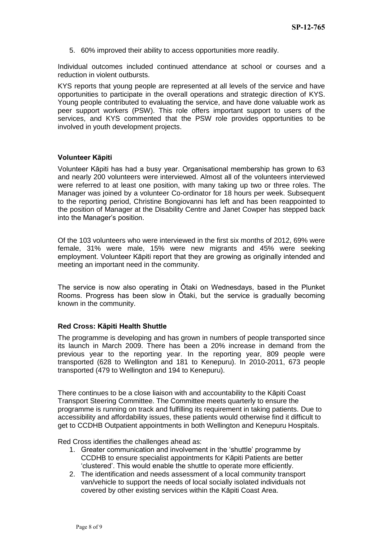5. 60% improved their ability to access opportunities more readily.

Individual outcomes included continued attendance at school or courses and a reduction in violent outbursts.

KYS reports that young people are represented at all levels of the service and have opportunities to participate in the overall operations and strategic direction of KYS. Young people contributed to evaluating the service, and have done valuable work as peer support workers (PSW). This role offers important support to users of the services, and KYS commented that the PSW role provides opportunities to be involved in youth development projects.

### **Volunteer Kāpiti**

Volunteer Kāpiti has had a busy year. Organisational membership has grown to 63 and nearly 200 volunteers were interviewed. Almost all of the volunteers interviewed were referred to at least one position, with many taking up two or three roles. The Manager was joined by a volunteer Co-ordinator for 18 hours per week. Subsequent to the reporting period, Christine Bongiovanni has left and has been reappointed to the position of Manager at the Disability Centre and Janet Cowper has stepped back into the Manager's position.

Of the 103 volunteers who were interviewed in the first six months of 2012, 69% were female, 31% were male, 15% were new migrants and 45% were seeking employment. Volunteer Kāpiti report that they are growing as originally intended and meeting an important need in the community.

The service is now also operating in Ōtaki on Wednesdays, based in the Plunket Rooms. Progress has been slow in Ōtaki, but the service is gradually becoming known in the community.

### **Red Cross: Kāpiti Health Shuttle**

The programme is developing and has grown in numbers of people transported since its launch in March 2009. There has been a 20% increase in demand from the previous year to the reporting year. In the reporting year, 809 people were transported (628 to Wellington and 181 to Kenepuru). In 2010-2011, 673 people transported (479 to Wellington and 194 to Kenepuru).

There continues to be a close liaison with and accountability to the Kāpiti Coast Transport Steering Committee. The Committee meets quarterly to ensure the programme is running on track and fulfilling its requirement in taking patients. Due to accessibility and affordability issues, these patients would otherwise find it difficult to get to CCDHB Outpatient appointments in both Wellington and Kenepuru Hospitals.

Red Cross identifies the challenges ahead as:

- 1. Greater communication and involvement in the 'shuttle' programme by CCDHB to ensure specialist appointments for Kāpiti Patients are better 'clustered'. This would enable the shuttle to operate more efficiently.
- 2. The identification and needs assessment of a local community transport van/vehicle to support the needs of local socially isolated individuals not covered by other existing services within the Kāpiti Coast Area.